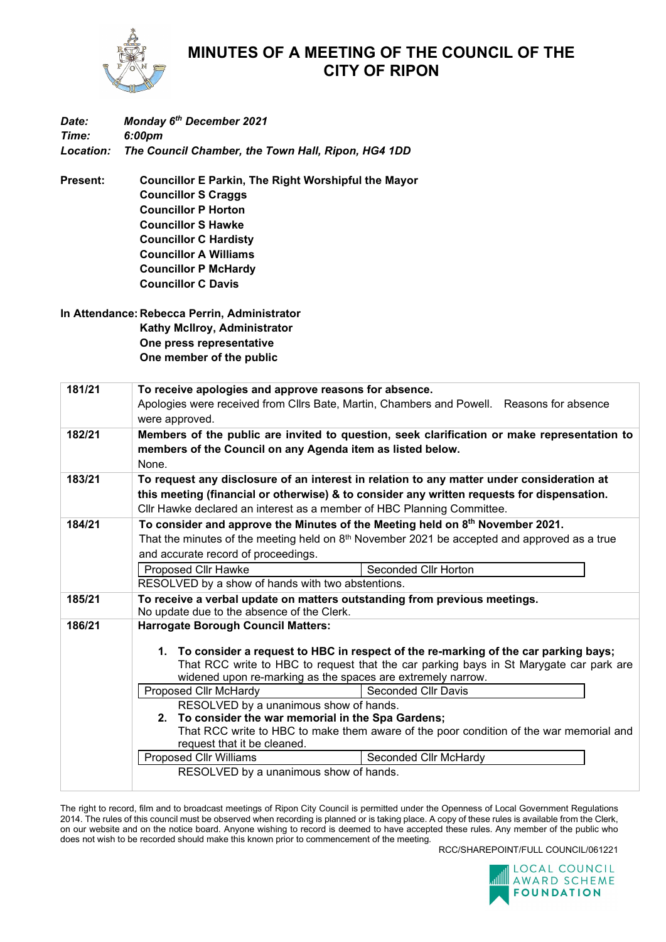

## **MINUTES OF A MEETING OF THE COUNCIL OF THE CITY OF RIPON**

| Date:     | Monday 6th December 2021                                   |  |  |  |
|-----------|------------------------------------------------------------|--|--|--|
| Time:     | 6:00pm                                                     |  |  |  |
| Location: | The Council Chamber, the Town Hall, Ripon, HG4 1DD         |  |  |  |
| Present:  | <b>Councillor E Parkin, The Right Worshipful the Mayor</b> |  |  |  |
|           | <b>Councillor S Craggs</b>                                 |  |  |  |
|           | <b>Councillor P Horton</b>                                 |  |  |  |
|           | <b>Councillor S Hawke</b>                                  |  |  |  |
|           | <b>Councillor C Hardisty</b>                               |  |  |  |

**Councillor A Williams**

**Councillor P McHardy**

**Councillor C Davis**

**In Attendance: Rebecca Perrin, Administrator Kathy McIlroy, Administrator One press representative One member of the public**

| 181/21 | To receive apologies and approve reasons for absence.                                                                                                                           |  |  |  |
|--------|---------------------------------------------------------------------------------------------------------------------------------------------------------------------------------|--|--|--|
|        | Apologies were received from Cllrs Bate, Martin, Chambers and Powell. Reasons for absence                                                                                       |  |  |  |
|        | were approved.                                                                                                                                                                  |  |  |  |
| 182/21 | Members of the public are invited to question, seek clarification or make representation to                                                                                     |  |  |  |
|        | members of the Council on any Agenda item as listed below.                                                                                                                      |  |  |  |
|        | None.                                                                                                                                                                           |  |  |  |
| 183/21 | To request any disclosure of an interest in relation to any matter under consideration at                                                                                       |  |  |  |
|        | this meeting (financial or otherwise) & to consider any written requests for dispensation.                                                                                      |  |  |  |
|        | Cllr Hawke declared an interest as a member of HBC Planning Committee.                                                                                                          |  |  |  |
| 184/21 | To consider and approve the Minutes of the Meeting held on $8th$ November 2021.                                                                                                 |  |  |  |
|        | That the minutes of the meeting held on $8th$ November 2021 be accepted and approved as a true                                                                                  |  |  |  |
|        | and accurate record of proceedings.                                                                                                                                             |  |  |  |
|        | <b>Proposed Cllr Hawke</b><br>Seconded Cllr Horton                                                                                                                              |  |  |  |
|        | RESOLVED by a show of hands with two abstentions.                                                                                                                               |  |  |  |
| 185/21 | To receive a verbal update on matters outstanding from previous meetings.                                                                                                       |  |  |  |
|        | No update due to the absence of the Clerk.                                                                                                                                      |  |  |  |
| 186/21 | <b>Harrogate Borough Council Matters:</b>                                                                                                                                       |  |  |  |
|        |                                                                                                                                                                                 |  |  |  |
|        | 1. To consider a request to HBC in respect of the re-marking of the car parking bays;<br>That RCC write to HBC to request that the car parking bays in St Marygate car park are |  |  |  |
|        | widened upon re-marking as the spaces are extremely narrow.                                                                                                                     |  |  |  |
|        | Proposed Cllr McHardy<br><b>Seconded Cllr Davis</b>                                                                                                                             |  |  |  |
|        | RESOLVED by a unanimous show of hands.                                                                                                                                          |  |  |  |
|        | 2. To consider the war memorial in the Spa Gardens;<br>That RCC write to HBC to make them aware of the poor condition of the war memorial and                                   |  |  |  |
|        |                                                                                                                                                                                 |  |  |  |
|        | request that it be cleaned.                                                                                                                                                     |  |  |  |
|        | <b>Proposed Cllr Williams</b><br>Seconded Cllr McHardy                                                                                                                          |  |  |  |
|        | RESOLVED by a unanimous show of hands.                                                                                                                                          |  |  |  |
|        |                                                                                                                                                                                 |  |  |  |

The right to record, film and to broadcast meetings of Ripon City Council is permitted under the Openness of Local Government Regulations 2014. The rules of this council must be observed when recording is planned or is taking place. A copy of these rules is available from the Clerk, on our website and on the notice board. Anyone wishing to record is deemed to have accepted these rules. Any member of the public who does not wish to be recorded should make this known prior to commencement of the meeting.

RCC/SHAREPOINT/FULL COUNCIL/061221

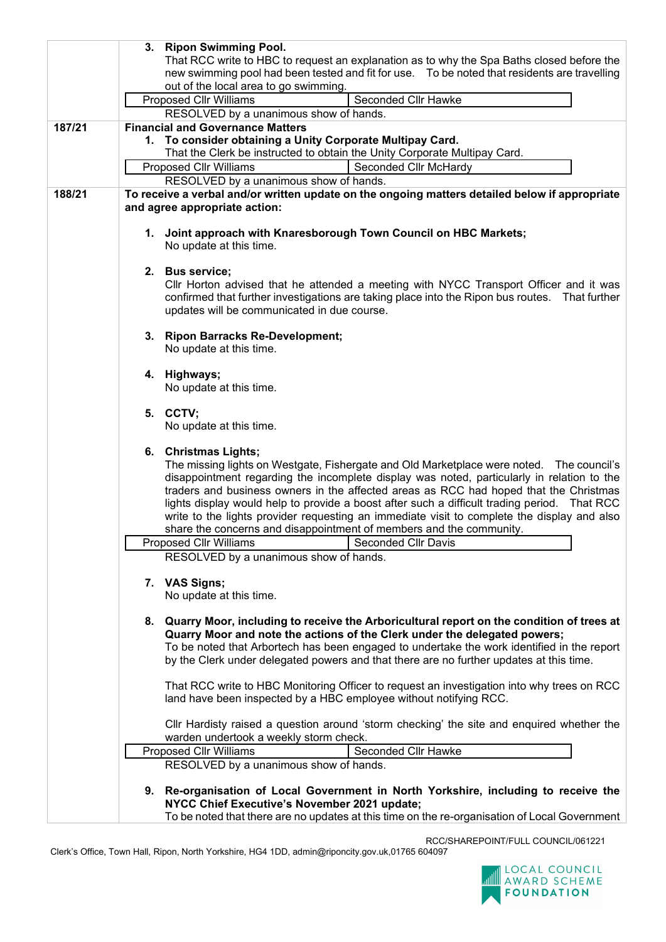|        | 3. Ripon Swimming Pool.                                                                        |  |  |
|--------|------------------------------------------------------------------------------------------------|--|--|
|        | That RCC write to HBC to request an explanation as to why the Spa Baths closed before the      |  |  |
|        | new swimming pool had been tested and fit for use. To be noted that residents are travelling   |  |  |
|        | out of the local area to go swimming.                                                          |  |  |
|        | Seconded Cllr Hawke<br><b>Proposed Cllr Williams</b>                                           |  |  |
|        | RESOLVED by a unanimous show of hands.                                                         |  |  |
| 187/21 | <b>Financial and Governance Matters</b>                                                        |  |  |
|        | 1. To consider obtaining a Unity Corporate Multipay Card.                                      |  |  |
|        | That the Clerk be instructed to obtain the Unity Corporate Multipay Card.                      |  |  |
|        | <b>Proposed Cllr Williams</b><br>Seconded Cllr McHardy                                         |  |  |
|        | RESOLVED by a unanimous show of hands.                                                         |  |  |
| 188/21 | To receive a verbal and/or written update on the ongoing matters detailed below if appropriate |  |  |
|        |                                                                                                |  |  |
|        | and agree appropriate action:                                                                  |  |  |
|        |                                                                                                |  |  |
|        | 1. Joint approach with Knaresborough Town Council on HBC Markets;                              |  |  |
|        | No update at this time.                                                                        |  |  |
|        |                                                                                                |  |  |
|        | 2. Bus service;                                                                                |  |  |
|        | CIIr Horton advised that he attended a meeting with NYCC Transport Officer and it was          |  |  |
|        | confirmed that further investigations are taking place into the Ripon bus routes. That further |  |  |
|        | updates will be communicated in due course.                                                    |  |  |
|        | 3. Ripon Barracks Re-Development;                                                              |  |  |
|        | No update at this time.                                                                        |  |  |
|        |                                                                                                |  |  |
|        | 4. Highways;                                                                                   |  |  |
|        | No update at this time.                                                                        |  |  |
|        |                                                                                                |  |  |
|        | 5. CCTV;                                                                                       |  |  |
|        | No update at this time.                                                                        |  |  |
|        |                                                                                                |  |  |
|        | 6. Christmas Lights;                                                                           |  |  |
|        | The missing lights on Westgate, Fishergate and Old Marketplace were noted. The council's       |  |  |
|        | disappointment regarding the incomplete display was noted, particularly in relation to the     |  |  |
|        | traders and business owners in the affected areas as RCC had hoped that the Christmas          |  |  |
|        | lights display would help to provide a boost after such a difficult trading period. That RCC   |  |  |
|        | write to the lights provider requesting an immediate visit to complete the display and also    |  |  |
|        | share the concerns and disappointment of members and the community.                            |  |  |
|        | Proposed Cllr Williams<br>Seconded Cllr Davis                                                  |  |  |
|        | RESOLVED by a unanimous show of hands.                                                         |  |  |
|        |                                                                                                |  |  |
|        | 7. VAS Signs;                                                                                  |  |  |
|        | No update at this time.                                                                        |  |  |
|        |                                                                                                |  |  |
|        | 8. Quarry Moor, including to receive the Arboricultural report on the condition of trees at    |  |  |
|        | Quarry Moor and note the actions of the Clerk under the delegated powers;                      |  |  |
|        | To be noted that Arbortech has been engaged to undertake the work identified in the report     |  |  |
|        | by the Clerk under delegated powers and that there are no further updates at this time.        |  |  |
|        |                                                                                                |  |  |
|        | That RCC write to HBC Monitoring Officer to request an investigation into why trees on RCC     |  |  |
|        | land have been inspected by a HBC employee without notifying RCC.                              |  |  |
|        |                                                                                                |  |  |
|        | CIIr Hardisty raised a question around 'storm checking' the site and enquired whether the      |  |  |
|        | warden undertook a weekly storm check.                                                         |  |  |
|        | Seconded Cllr Hawke<br><b>Proposed Cllr Williams</b>                                           |  |  |
|        | RESOLVED by a unanimous show of hands.                                                         |  |  |
|        |                                                                                                |  |  |
|        | 9. Re-organisation of Local Government in North Yorkshire, including to receive the            |  |  |
|        | NYCC Chief Executive's November 2021 update;                                                   |  |  |
|        | To be noted that there are no updates at this time on the re-organisation of Local Government  |  |  |
|        |                                                                                                |  |  |

RCC/SHAREPOINT/FULL COUNCIL/061221 Clerk's Office, Town Hall, Ripon, North Yorkshire, HG4 1DD, admin@riponcity.gov.uk,01765 604097

AN LOCAL COUNCIL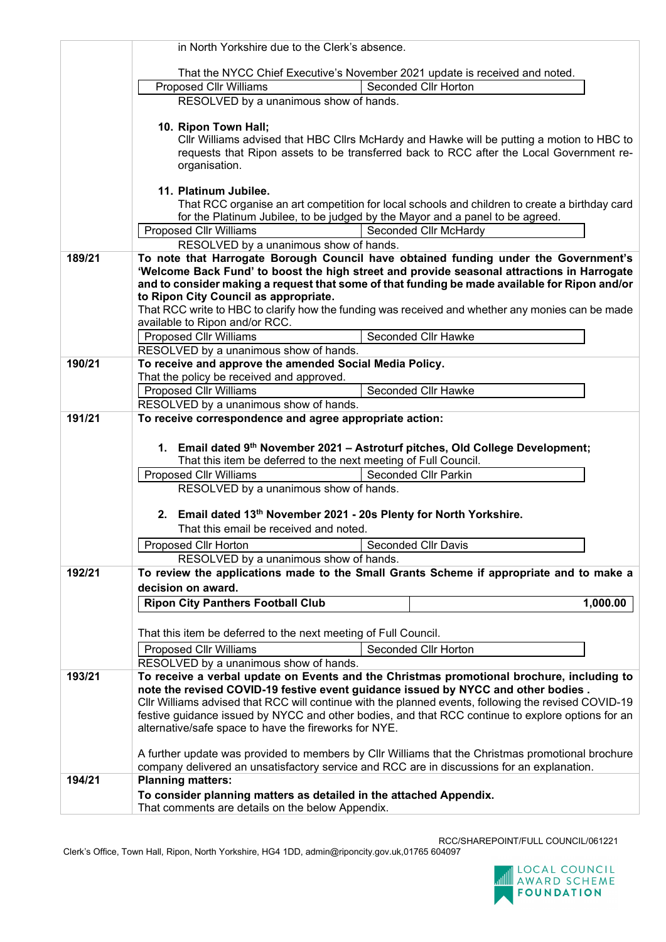|                                                                                                   | in North Yorkshire due to the Clerk's absence.                                                                                            |  |  |  |
|---------------------------------------------------------------------------------------------------|-------------------------------------------------------------------------------------------------------------------------------------------|--|--|--|
|                                                                                                   |                                                                                                                                           |  |  |  |
|                                                                                                   | That the NYCC Chief Executive's November 2021 update is received and noted.<br>Seconded Cllr Horton<br><b>Proposed Cllr Williams</b>      |  |  |  |
|                                                                                                   | RESOLVED by a unanimous show of hands.                                                                                                    |  |  |  |
|                                                                                                   | 10. Ripon Town Hall;                                                                                                                      |  |  |  |
|                                                                                                   | Cllr Williams advised that HBC Cllrs McHardy and Hawke will be putting a motion to HBC to                                                 |  |  |  |
|                                                                                                   | requests that Ripon assets to be transferred back to RCC after the Local Government re-<br>organisation.                                  |  |  |  |
|                                                                                                   |                                                                                                                                           |  |  |  |
|                                                                                                   | 11. Platinum Jubilee.                                                                                                                     |  |  |  |
|                                                                                                   | That RCC organise an art competition for local schools and children to create a birthday card                                             |  |  |  |
|                                                                                                   | for the Platinum Jubilee, to be judged by the Mayor and a panel to be agreed.<br><b>Proposed Cllr Williams</b><br>Seconded Cllr McHardy   |  |  |  |
|                                                                                                   | RESOLVED by a unanimous show of hands.                                                                                                    |  |  |  |
| 189/21                                                                                            | To note that Harrogate Borough Council have obtained funding under the Government's                                                       |  |  |  |
|                                                                                                   | 'Welcome Back Fund' to boost the high street and provide seasonal attractions in Harrogate                                                |  |  |  |
|                                                                                                   | and to consider making a request that some of that funding be made available for Ripon and/or                                             |  |  |  |
|                                                                                                   | to Ripon City Council as appropriate.<br>That RCC write to HBC to clarify how the funding was received and whether any monies can be made |  |  |  |
|                                                                                                   | available to Ripon and/or RCC.                                                                                                            |  |  |  |
|                                                                                                   | Seconded Cllr Hawke<br><b>Proposed Cllr Williams</b>                                                                                      |  |  |  |
|                                                                                                   | RESOLVED by a unanimous show of hands.                                                                                                    |  |  |  |
| 190/21                                                                                            | To receive and approve the amended Social Media Policy.                                                                                   |  |  |  |
|                                                                                                   | That the policy be received and approved.                                                                                                 |  |  |  |
|                                                                                                   | <b>Proposed Cllr Williams</b><br>Seconded Cllr Hawke<br>RESOLVED by a unanimous show of hands.                                            |  |  |  |
| 191/21                                                                                            | To receive correspondence and agree appropriate action:                                                                                   |  |  |  |
|                                                                                                   |                                                                                                                                           |  |  |  |
|                                                                                                   | 1. Email dated 9th November 2021 - Astroturf pitches, Old College Development;                                                            |  |  |  |
|                                                                                                   | That this item be deferred to the next meeting of Full Council.                                                                           |  |  |  |
|                                                                                                   | <b>Seconded Cllr Parkin</b><br>Proposed Cllr Williams                                                                                     |  |  |  |
|                                                                                                   | RESOLVED by a unanimous show of hands.                                                                                                    |  |  |  |
|                                                                                                   | 2. Email dated 13th November 2021 - 20s Plenty for North Yorkshire.                                                                       |  |  |  |
|                                                                                                   | That this email be received and noted.                                                                                                    |  |  |  |
|                                                                                                   | <b>Seconded Cllr Davis</b><br>Proposed Cllr Horton                                                                                        |  |  |  |
|                                                                                                   | RESOLVED by a unanimous show of hands.                                                                                                    |  |  |  |
| 192/21                                                                                            | To review the applications made to the Small Grants Scheme if appropriate and to make a                                                   |  |  |  |
|                                                                                                   | decision on award.                                                                                                                        |  |  |  |
|                                                                                                   | <b>Ripon City Panthers Football Club</b><br>1,000.00                                                                                      |  |  |  |
|                                                                                                   |                                                                                                                                           |  |  |  |
|                                                                                                   | That this item be deferred to the next meeting of Full Council.                                                                           |  |  |  |
|                                                                                                   | Seconded Cllr Horton<br><b>Proposed Cllr Williams</b>                                                                                     |  |  |  |
| 193/21                                                                                            | RESOLVED by a unanimous show of hands.<br>To receive a verbal update on Events and the Christmas promotional brochure, including to       |  |  |  |
|                                                                                                   | note the revised COVID-19 festive event guidance issued by NYCC and other bodies.                                                         |  |  |  |
|                                                                                                   | Cllr Williams advised that RCC will continue with the planned events, following the revised COVID-19                                      |  |  |  |
|                                                                                                   | festive guidance issued by NYCC and other bodies, and that RCC continue to explore options for an                                         |  |  |  |
|                                                                                                   | alternative/safe space to have the fireworks for NYE.                                                                                     |  |  |  |
| A further update was provided to members by Cllr Williams that the Christmas promotional brochure |                                                                                                                                           |  |  |  |
|                                                                                                   | company delivered an unsatisfactory service and RCC are in discussions for an explanation.                                                |  |  |  |
| 194/21                                                                                            | <b>Planning matters:</b>                                                                                                                  |  |  |  |
|                                                                                                   | To consider planning matters as detailed in the attached Appendix.                                                                        |  |  |  |
|                                                                                                   | That comments are details on the below Appendix.                                                                                          |  |  |  |

RCC/SHAREPOINT/FULL COUNCIL/061221 Clerk's Office, Town Hall, Ripon, North Yorkshire, HG4 1DD, admin@riponcity.gov.uk,01765 604097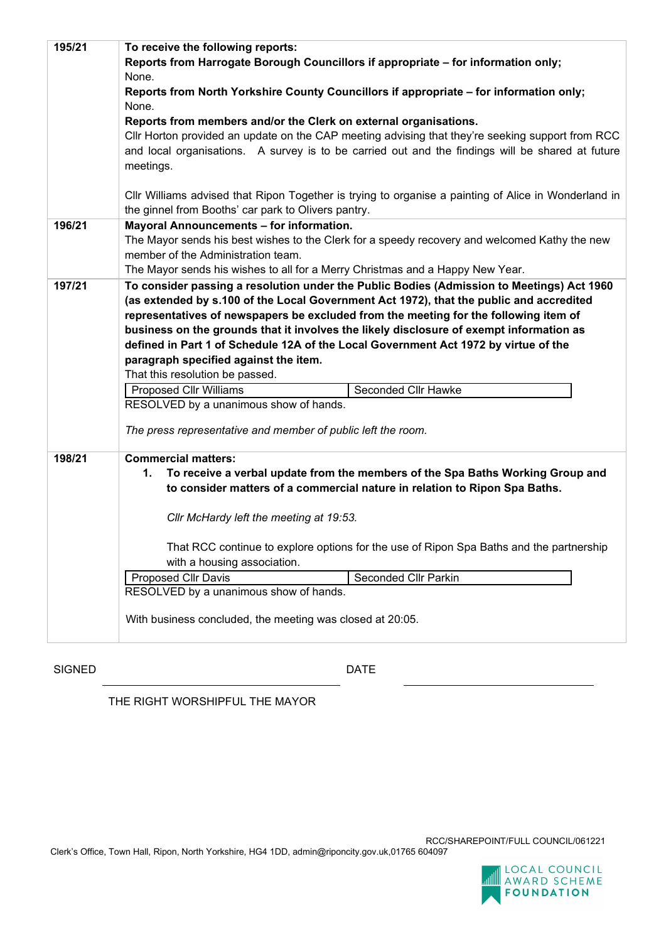| 195/21 | To receive the following reports:                                                                    |  |  |  |
|--------|------------------------------------------------------------------------------------------------------|--|--|--|
|        | Reports from Harrogate Borough Councillors if appropriate - for information only;                    |  |  |  |
|        | None.                                                                                                |  |  |  |
|        | Reports from North Yorkshire County Councillors if appropriate - for information only;               |  |  |  |
|        | None.                                                                                                |  |  |  |
|        | Reports from members and/or the Clerk on external organisations.                                     |  |  |  |
|        | CIIr Horton provided an update on the CAP meeting advising that they're seeking support from RCC     |  |  |  |
|        | and local organisations. A survey is to be carried out and the findings will be shared at future     |  |  |  |
|        | meetings.                                                                                            |  |  |  |
|        |                                                                                                      |  |  |  |
|        | CIIr Williams advised that Ripon Together is trying to organise a painting of Alice in Wonderland in |  |  |  |
|        | the ginnel from Booths' car park to Olivers pantry.                                                  |  |  |  |
| 196/21 | Mayoral Announcements - for information.                                                             |  |  |  |
|        | The Mayor sends his best wishes to the Clerk for a speedy recovery and welcomed Kathy the new        |  |  |  |
|        | member of the Administration team.                                                                   |  |  |  |
|        | The Mayor sends his wishes to all for a Merry Christmas and a Happy New Year.                        |  |  |  |
| 197/21 | To consider passing a resolution under the Public Bodies (Admission to Meetings) Act 1960            |  |  |  |
|        | (as extended by s.100 of the Local Government Act 1972), that the public and accredited              |  |  |  |
|        | representatives of newspapers be excluded from the meeting for the following item of                 |  |  |  |
|        | business on the grounds that it involves the likely disclosure of exempt information as              |  |  |  |
|        | defined in Part 1 of Schedule 12A of the Local Government Act 1972 by virtue of the                  |  |  |  |
|        | paragraph specified against the item.                                                                |  |  |  |
|        | That this resolution be passed.                                                                      |  |  |  |
|        | Seconded Cllr Hawke<br>Proposed Cllr Williams                                                        |  |  |  |
|        | RESOLVED by a unanimous show of hands.                                                               |  |  |  |
|        | The press representative and member of public left the room.                                         |  |  |  |
|        |                                                                                                      |  |  |  |
| 198/21 | <b>Commercial matters:</b>                                                                           |  |  |  |
|        | To receive a verbal update from the members of the Spa Baths Working Group and<br>1.                 |  |  |  |
|        | to consider matters of a commercial nature in relation to Ripon Spa Baths.                           |  |  |  |
|        |                                                                                                      |  |  |  |
|        | Cllr McHardy left the meeting at 19:53.                                                              |  |  |  |
|        |                                                                                                      |  |  |  |
|        | That RCC continue to explore options for the use of Ripon Spa Baths and the partnership              |  |  |  |
|        | with a housing association.                                                                          |  |  |  |
|        | Seconded Cllr Parkin<br><b>Proposed Cllr Davis</b>                                                   |  |  |  |
|        | RESOLVED by a unanimous show of hands.                                                               |  |  |  |
|        |                                                                                                      |  |  |  |
|        | With business concluded, the meeting was closed at 20:05.                                            |  |  |  |
|        |                                                                                                      |  |  |  |

SIGNED DATE

THE RIGHT WORSHIPFUL THE MAYOR



Clerk's Office, Town Hall, Ripon, North Yorkshire, HG4 1DD, admin@riponcity.gov.uk,01765 604097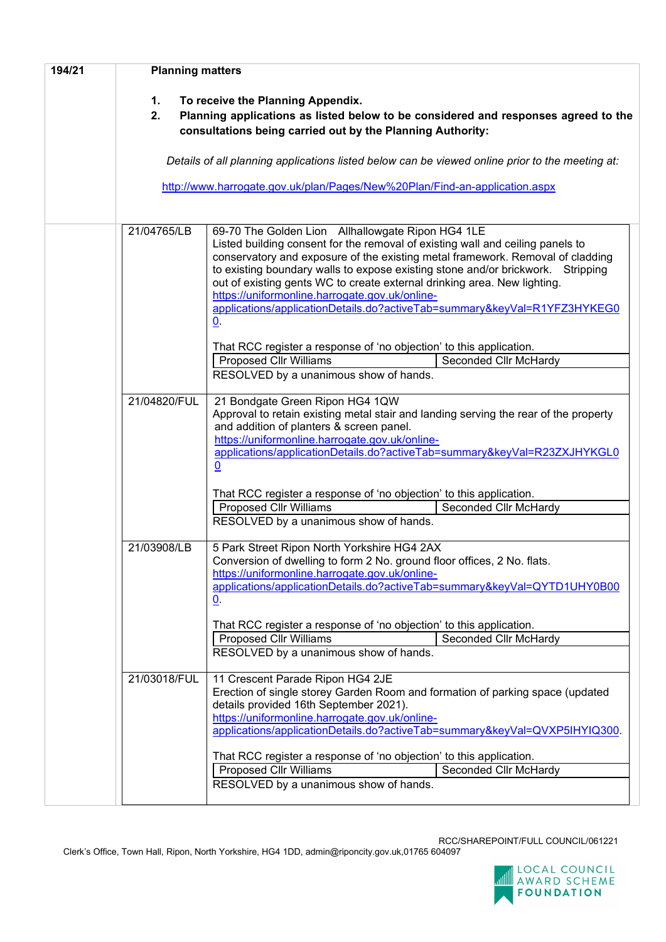| 194/21 | <b>Planning matters</b>                                                                                                                                                                           |                                                                                                                                                                                                                                                                                                                                                                                                                                                                                                                                                                                                                                                           |  |  |  |
|--------|---------------------------------------------------------------------------------------------------------------------------------------------------------------------------------------------------|-----------------------------------------------------------------------------------------------------------------------------------------------------------------------------------------------------------------------------------------------------------------------------------------------------------------------------------------------------------------------------------------------------------------------------------------------------------------------------------------------------------------------------------------------------------------------------------------------------------------------------------------------------------|--|--|--|
|        | To receive the Planning Appendix.<br>1.<br>2.<br>Planning applications as listed below to be considered and responses agreed to the<br>consultations being carried out by the Planning Authority: |                                                                                                                                                                                                                                                                                                                                                                                                                                                                                                                                                                                                                                                           |  |  |  |
|        |                                                                                                                                                                                                   | Details of all planning applications listed below can be viewed online prior to the meeting at:                                                                                                                                                                                                                                                                                                                                                                                                                                                                                                                                                           |  |  |  |
|        | http://www.harrogate.gov.uk/plan/Pages/New%20Plan/Find-an-application.aspx                                                                                                                        |                                                                                                                                                                                                                                                                                                                                                                                                                                                                                                                                                                                                                                                           |  |  |  |
|        | 21/04765/LB                                                                                                                                                                                       | 69-70 The Golden Lion Allhallowgate Ripon HG4 1LE<br>Listed building consent for the removal of existing wall and ceiling panels to<br>conservatory and exposure of the existing metal framework. Removal of cladding<br>to existing boundary walls to expose existing stone and/or brickwork. Stripping<br>out of existing gents WC to create external drinking area. New lighting.<br>https://uniformonline.harrogate.gov.uk/online-<br>applications/applicationDetails.do?activeTab=summary&keyVal=R1YFZ3HYKEG0<br>0.<br>That RCC register a response of 'no objection' to this application.<br><b>Proposed Cllr Williams</b><br>Seconded Cllr McHardy |  |  |  |
|        |                                                                                                                                                                                                   | RESOLVED by a unanimous show of hands.                                                                                                                                                                                                                                                                                                                                                                                                                                                                                                                                                                                                                    |  |  |  |
|        | 21/04820/FUL                                                                                                                                                                                      | 21 Bondgate Green Ripon HG4 1QW<br>Approval to retain existing metal stair and landing serving the rear of the property<br>and addition of planters & screen panel.<br>https://uniformonline.harrogate.gov.uk/online-<br>applications/applicationDetails.do?activeTab=summary&keyVal=R23ZXJHYKGL0<br>0                                                                                                                                                                                                                                                                                                                                                    |  |  |  |
|        |                                                                                                                                                                                                   | That RCC register a response of 'no objection' to this application.<br><b>Proposed Cllr Williams</b><br>Seconded Cllr McHardy                                                                                                                                                                                                                                                                                                                                                                                                                                                                                                                             |  |  |  |
|        |                                                                                                                                                                                                   | RESOLVED by a unanimous show of hands.                                                                                                                                                                                                                                                                                                                                                                                                                                                                                                                                                                                                                    |  |  |  |
|        | 21/03908/LB                                                                                                                                                                                       | 5 Park Street Ripon North Yorkshire HG4 2AX<br>Conversion of dwelling to form 2 No. ground floor offices, 2 No. flats.<br>https://uniformonline.harrogate.gov.uk/online-<br>applications/applicationDetails.do?activeTab=summary&keyVal=QYTD1UHY0B00<br><u>0</u> .                                                                                                                                                                                                                                                                                                                                                                                        |  |  |  |
|        |                                                                                                                                                                                                   | That RCC register a response of 'no objection' to this application.<br><b>Proposed Cllr Williams</b><br>Seconded Cllr McHardy                                                                                                                                                                                                                                                                                                                                                                                                                                                                                                                             |  |  |  |
|        |                                                                                                                                                                                                   | RESOLVED by a unanimous show of hands.                                                                                                                                                                                                                                                                                                                                                                                                                                                                                                                                                                                                                    |  |  |  |
|        | 21/03018/FUL                                                                                                                                                                                      | 11 Crescent Parade Ripon HG4 2JE<br>Erection of single storey Garden Room and formation of parking space (updated<br>details provided 16th September 2021).<br>https://uniformonline.harrogate.gov.uk/online-<br>applications/applicationDetails.do?activeTab=summary&keyVal=QVXP5IHYIQ300.                                                                                                                                                                                                                                                                                                                                                               |  |  |  |
|        |                                                                                                                                                                                                   | That RCC register a response of 'no objection' to this application.                                                                                                                                                                                                                                                                                                                                                                                                                                                                                                                                                                                       |  |  |  |
|        |                                                                                                                                                                                                   | <b>Proposed Cllr Williams</b><br>Seconded Cllr McHardy<br>RESOLVED by a unanimous show of hands.                                                                                                                                                                                                                                                                                                                                                                                                                                                                                                                                                          |  |  |  |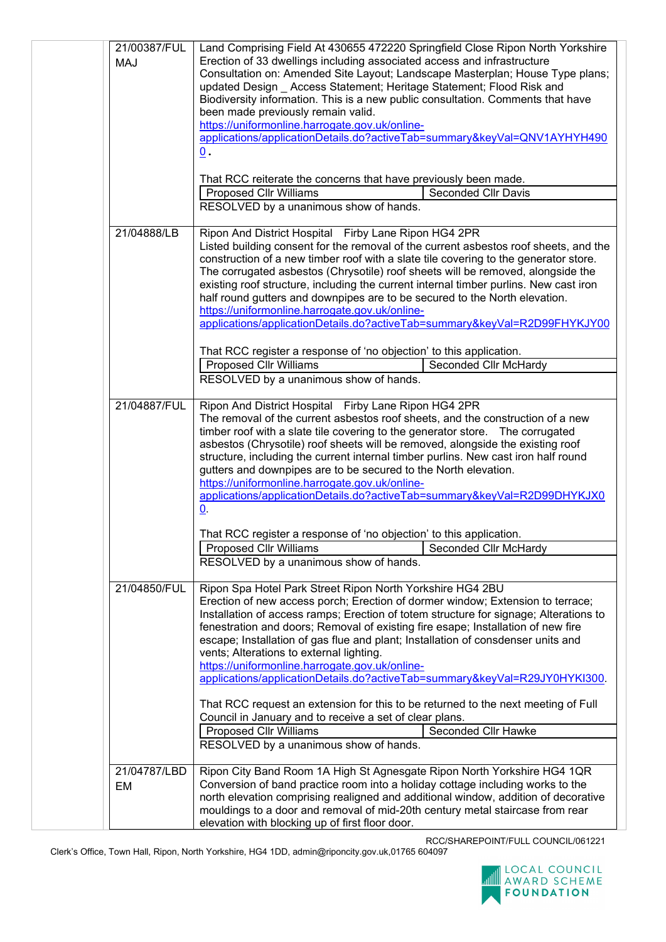| 21/00387/FUL<br><b>MAJ</b> | Land Comprising Field At 430655 472220 Springfield Close Ripon North Yorkshire<br>Erection of 33 dwellings including associated access and infrastructure<br>Consultation on: Amended Site Layout; Landscape Masterplan; House Type plans;<br>updated Design _ Access Statement; Heritage Statement; Flood Risk and<br>Biodiversity information. This is a new public consultation. Comments that have<br>been made previously remain valid.<br>https://uniformonline.harrogate.gov.uk/online-<br>applications/applicationDetails.do?activeTab=summary&keyVal=QNV1AYHYH490<br>$\underline{0}$ .<br>That RCC reiterate the concerns that have previously been made.<br><b>Proposed Cllr Williams</b><br><b>Seconded Cllr Davis</b> |  |
|----------------------------|-----------------------------------------------------------------------------------------------------------------------------------------------------------------------------------------------------------------------------------------------------------------------------------------------------------------------------------------------------------------------------------------------------------------------------------------------------------------------------------------------------------------------------------------------------------------------------------------------------------------------------------------------------------------------------------------------------------------------------------|--|
|                            | RESOLVED by a unanimous show of hands.                                                                                                                                                                                                                                                                                                                                                                                                                                                                                                                                                                                                                                                                                            |  |
| 21/04888/LB                | Ripon And District Hospital Firby Lane Ripon HG4 2PR<br>Listed building consent for the removal of the current asbestos roof sheets, and the<br>construction of a new timber roof with a slate tile covering to the generator store.<br>The corrugated asbestos (Chrysotile) roof sheets will be removed, alongside the<br>existing roof structure, including the current internal timber purlins. New cast iron<br>half round gutters and downpipes are to be secured to the North elevation.<br>https://uniformonline.harrogate.gov.uk/online-<br>applications/applicationDetails.do?activeTab=summary&keyVal=R2D99FHYKJY00                                                                                                     |  |
|                            | That RCC register a response of 'no objection' to this application.<br><b>Proposed Cllr Williams</b><br>Seconded Cllr McHardy                                                                                                                                                                                                                                                                                                                                                                                                                                                                                                                                                                                                     |  |
|                            | RESOLVED by a unanimous show of hands.                                                                                                                                                                                                                                                                                                                                                                                                                                                                                                                                                                                                                                                                                            |  |
| 21/04887/FUL               | Ripon And District Hospital Firby Lane Ripon HG4 2PR<br>The removal of the current asbestos roof sheets, and the construction of a new<br>timber roof with a slate tile covering to the generator store.  The corrugated<br>asbestos (Chrysotile) roof sheets will be removed, alongside the existing roof<br>structure, including the current internal timber purlins. New cast iron half round<br>gutters and downpipes are to be secured to the North elevation.<br>https://uniformonline.harrogate.gov.uk/online-<br>applications/applicationDetails.do?activeTab=summary&keyVal=R2D99DHYKJX0<br>$\underline{0}$ .                                                                                                            |  |
|                            | That RCC register a response of 'no objection' to this application.                                                                                                                                                                                                                                                                                                                                                                                                                                                                                                                                                                                                                                                               |  |
|                            | Proposed Cllr Williams<br>Seconded Cllr McHardy<br>RESOLVED by a unanimous show of hands.                                                                                                                                                                                                                                                                                                                                                                                                                                                                                                                                                                                                                                         |  |
| 21/04850/FUL               | Ripon Spa Hotel Park Street Ripon North Yorkshire HG4 2BU<br>Erection of new access porch; Erection of dormer window; Extension to terrace;<br>Installation of access ramps; Erection of totem structure for signage; Alterations to<br>fenestration and doors; Removal of existing fire esape; Installation of new fire<br>escape; Installation of gas flue and plant; Installation of consdenser units and<br>vents; Alterations to external lighting.<br>https://uniformonline.harrogate.gov.uk/online-<br>applications/applicationDetails.do?activeTab=summary&keyVal=R29JY0HYKI300.                                                                                                                                          |  |
|                            | That RCC request an extension for this to be returned to the next meeting of Full<br>Council in January and to receive a set of clear plans.                                                                                                                                                                                                                                                                                                                                                                                                                                                                                                                                                                                      |  |
|                            | <b>Proposed Cllr Williams</b><br>Seconded Cllr Hawke<br>RESOLVED by a unanimous show of hands.                                                                                                                                                                                                                                                                                                                                                                                                                                                                                                                                                                                                                                    |  |
| 21/04787/LBD<br>EM         | Ripon City Band Room 1A High St Agnesgate Ripon North Yorkshire HG4 1QR<br>Conversion of band practice room into a holiday cottage including works to the<br>north elevation comprising realigned and additional window, addition of decorative<br>mouldings to a door and removal of mid-20th century metal staircase from rear<br>elevation with blocking up of first floor door.                                                                                                                                                                                                                                                                                                                                               |  |

RCC/SHAREPOINT/FULL COUNCIL/061221

Clerk's Office, Town Hall, Ripon, North Yorkshire, HG4 1DD, admin@riponcity.gov.uk,01765 604097